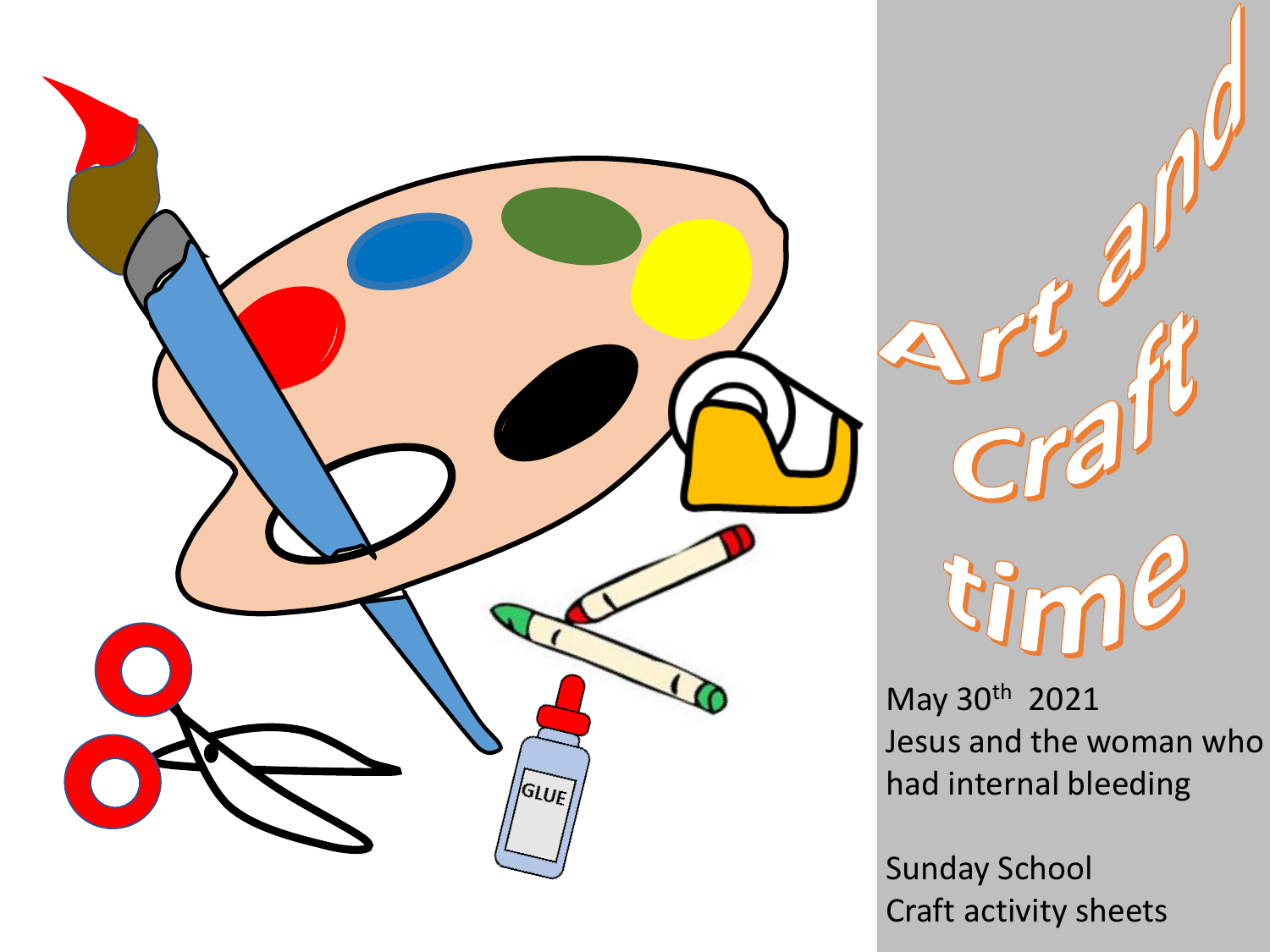



May 30th 2021 Jesus and the woman who had internal bleeding

Sunday School Craft activity sheets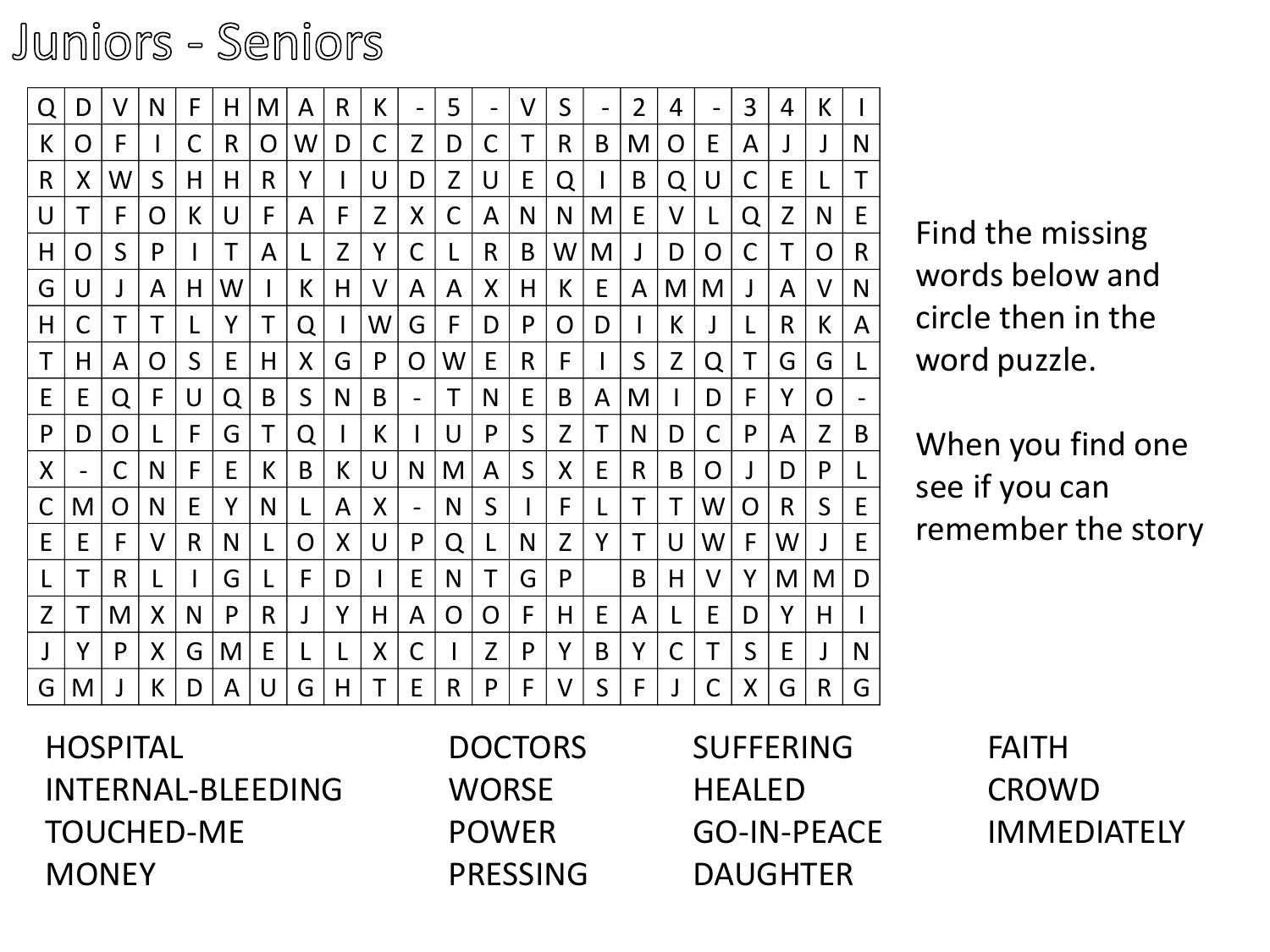## Juniors - Seniors

| Q                        | D  | V              | N            | F            | H            | M            | A | R | K           | $\qquad \qquad \blacksquare$ | 5              | $\qquad \qquad \blacksquare$ | $\vee$       | $\mathsf{S}$   | $\qquad \qquad \blacksquare$ | $\overline{2}$ | 4            | $\qquad \qquad \blacksquare$ | 3                 | $\overline{4}$ | K            |              |                                    |
|--------------------------|----|----------------|--------------|--------------|--------------|--------------|---|---|-------------|------------------------------|----------------|------------------------------|--------------|----------------|------------------------------|----------------|--------------|------------------------------|-------------------|----------------|--------------|--------------|------------------------------------|
| K                        | O  | F              |              | С            | $\mathsf{R}$ | $\mathsf{O}$ | W | D | $\mathsf C$ | Z                            | D              | С                            | Τ            | $\mathsf{R}$   | B                            | M              | $\mathsf{O}$ | E                            | $\mathsf{A}$      |                |              | N            |                                    |
| $\mathsf{R}$             | X  | W              | S            | H            | H            | $\mathsf{R}$ | Y |   | U           | D                            | Z              | U                            | E            | Q              |                              | B              | Q            | U                            | C                 | E              | L            | Τ            |                                    |
| U                        | Т  | F              | O            | K            | U            | F            | A | F | Z           | X                            | $\mathsf{C}$   | A                            | N            | N              | M                            | E              | V            |                              | Q                 | Z              | N            | E            |                                    |
| H                        | O  | S              | P            |              | Τ            | $\mathsf{A}$ | L | Z | Υ           | C                            |                | $\mathsf{R}$                 | B            | W              | M                            |                | D            | O                            |                   | Τ              | O            | $\mathsf{R}$ | Find the missing                   |
| G                        | U  | J              | A            | H            | W            |              | К | H | $\vee$      | A                            | A              | $\sf X$                      | H            | K              | E                            | A              | M            | M                            |                   | A              | $\vee$       | N            | words below and                    |
| H                        | С  | Τ              | Τ            | L            | Y            | Τ            | Q |   | W           | G                            | F              | D                            | P            | $\overline{O}$ | D                            |                | К            | J                            |                   | R              | К            | A            | circle then in the<br>word puzzle. |
| Τ                        | H. | A              | O            | $\mathsf{S}$ | E            | H            | X | G | P           | $\overline{O}$               | W              | E                            | $\mathsf{R}$ | F              |                              | S              | Z            | Q                            | T                 | G              | G            |              |                                    |
| E                        | E  | Q              | $\mathsf{F}$ | U            | Q            | B            | S | N | B           |                              | Τ              | N                            | E            | B              | A                            | M              |              | D                            | F                 | Y              | O            |              |                                    |
| P                        | D  | $\overline{O}$ |              | F            | G            | Τ            | Q |   | K           |                              | U              | $\mathsf{P}$                 | S            | Z              | T                            | $\mathsf{N}$   | D            | $\mathsf C$                  | P                 | A              | $\mathsf Z$  | B            | When you find one                  |
| X                        |    | C              | N            | F            | E            | $\mathsf{K}$ | B | K | $\cup$      | N                            | M              | A                            | $\mathsf S$  | X              | E                            | $\mathsf{R}$   | B            | O                            |                   | D              | P            | L            | see if you can                     |
| $\mathsf C$              | M  | $\mathsf{O}$   | N            | E            | Y            | N.           | L | A | X           | $\overline{\phantom{a}}$     | N              | S                            |              | F              |                              | Τ              | Τ            | W                            | $\overline{O}$    | R              | S            | E            |                                    |
| E                        | E  | F              | $\mathsf{V}$ | $\mathsf{R}$ | N            |              | O | X | U           | $\mathsf{P}$                 | Q              | L                            | N            | Z              | Y                            | Τ              | U            | W                            | F                 | W              |              | E            | remember the stor                  |
| L                        | T  | $\mathsf{R}$   |              |              | G            |              | F | D |             | E                            | N              | T                            | G            | P              |                              | B              | H            | V                            | Y                 | M              | M            | D            |                                    |
| Z                        | T  | M              | X            | N            | P            | R            |   | Y | H           | A                            | $\overline{O}$ | O                            | F            | H              | E                            | A              | L            | E                            | D                 | Y              | H            |              |                                    |
|                          | Y  | P              | X            | G            | M            | E            |   | L | X           | $\mathsf C$                  |                | $\mathsf{Z}$                 | P            | Y              | B                            | Y              | С            | Τ                            | $S_{\mathcal{C}}$ | E              |              | N            |                                    |
| G                        | M  |                | K            | D            | A            | U            | G | H | Τ           | E                            | R              | P                            | F            | V              | S                            | F              |              | $\mathsf C$                  | X                 | G              | $\mathsf{R}$ | G            |                                    |
| <b>HOSPITAL</b>          |    |                |              |              |              |              |   |   |             |                              |                | <b>DOCTORS</b>               |              |                |                              |                |              | <b>SUFFERING</b>             |                   |                |              |              | <b>FAITH</b>                       |
| <b>INTERNAL-BLEEDING</b> |    |                |              |              |              |              |   |   |             |                              | WORSE          |                              |              |                |                              |                |              | <b>HEALED</b>                |                   |                |              |              | <b>CROWD</b>                       |
| TOUCHED-ME               |    |                |              |              |              |              |   |   |             |                              | <b>POWER</b>   |                              |              |                |                              |                |              | <b>GO-IN-PEACE</b>           |                   |                |              |              | <b>IMMEDIATELY</b>                 |

When you find one see if you can remember the story

HOSPITAL INTERNAL-BLEEDING TOUCHED-ME **MONEY** 

DOCTORS **WORSE** POWER PRESSING SUFFERING **HEALED** GO-IN-PEACE DAUGHTER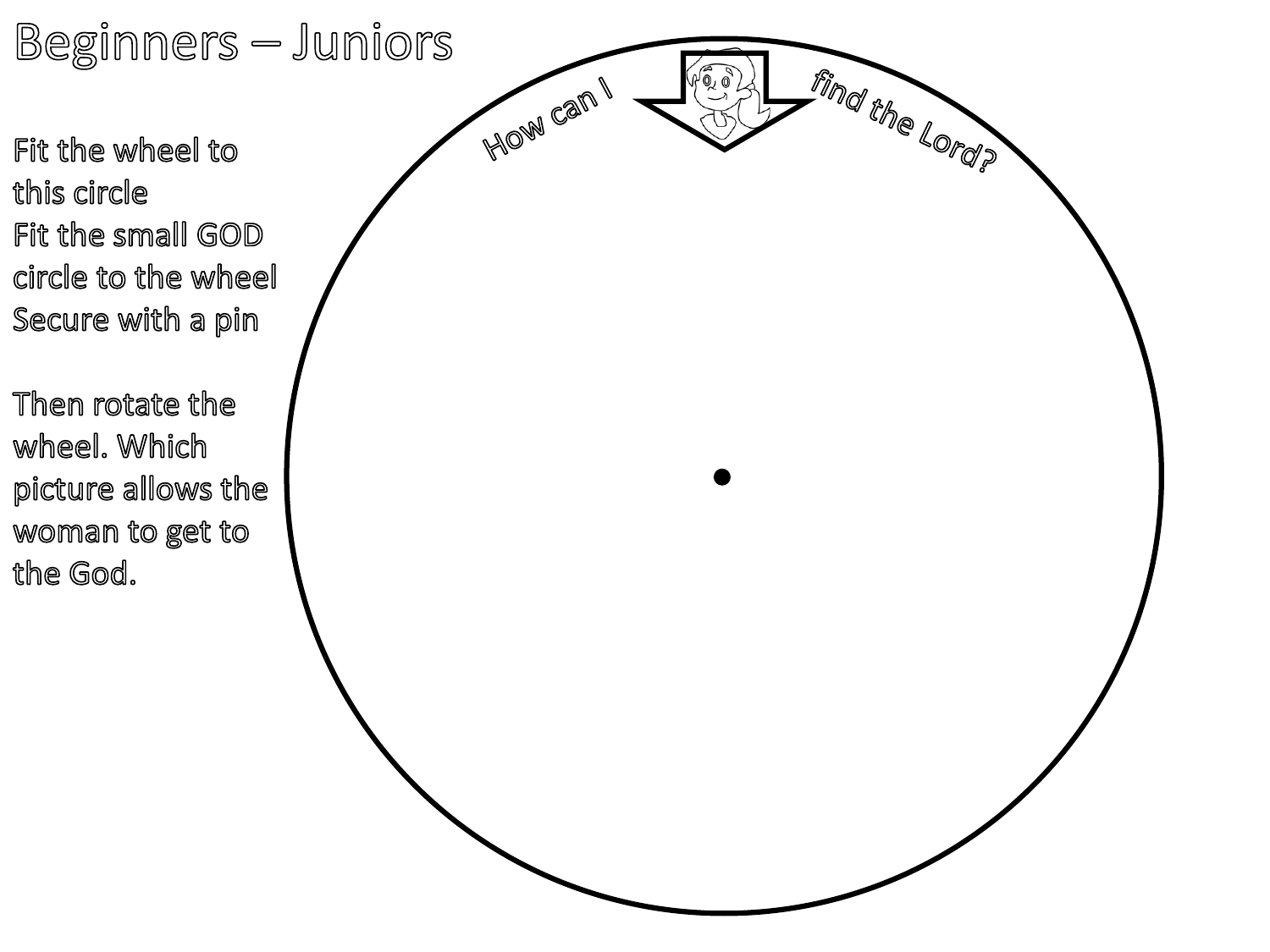Beginners — Juniors

Fit the wheel to this circle Fit the small GOD circle to the wheel Secure with a pin

Then rotate the wheel. Which picture allows the woman to get to the God.